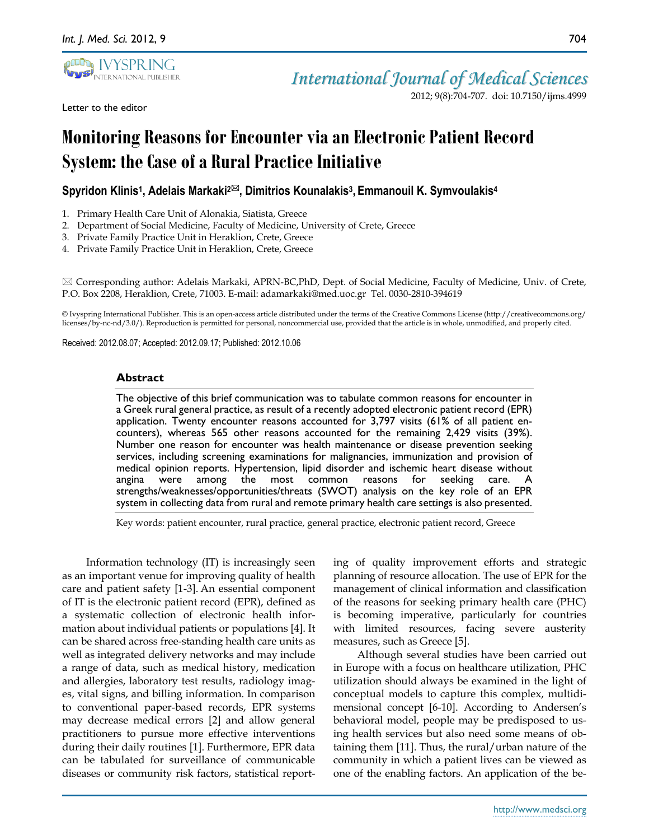

Letter to the editor

2012; 9(8):704-707. doi: 10.7150/ijms.4999

# **Monitoring Reasons for Encounterviaan Electronic Patient Record System: the Case of a Rural Practice Initiative**

# **Spyridon Klinis<sup>1</sup> , Adelais Markaki2, Dimitrios Kounalakis<sup>3</sup> , Emmanouil K. Symvoulakis<sup>4</sup>**

- 1. Primary Health Care Unit of Alonakia, Siatista, Greece
- 2. Department of Social Medicine, Faculty of Medicine, University of Crete, Greece
- 3. Private Family Practice Unit in Heraklion, Crete, Greece
- 4. Private Family Practice Unit in Heraklion, Crete, Greece

 Corresponding author: Adelais Markaki, APRN-BC,PhD, Dept. of Social Medicine, Faculty of Medicine, Univ. of Crete, P.O. Box 2208, Heraklion, Crete, 71003. E-mail: adamarkaki@med.uoc.gr Tel. 0030-2810-394619

© Ivyspring International Publisher. This is an open-access article distributed under the terms of the Creative Commons License (http://creativecommons.org/ licenses/by-nc-nd/3.0/). Reproduction is permitted for personal, noncommercial use, provided that the article is in whole, unmodified, and properly cited.

Received: 2012.08.07; Accepted: 2012.09.17; Published: 2012.10.06

### **Abstract**

The objective of this brief communication was to tabulate common reasons for encounter in a Greek rural general practice, as result of a recently adopted electronic patient record (EPR) application. Twenty encounter reasons accounted for 3,797 visits (61% of all patient encounters), whereas 565 other reasons accounted for the remaining 2,429 visits (39%). Number one reason for encounter was health maintenance or disease prevention seeking services, including screening examinations for malignancies, immunization and provision of medical opinion reports. Hypertension, lipid disorder and ischemic heart disease without angina were among the most common reasons for seeking care. strengths/weaknesses/opportunities/threats (SWOT) analysis on the key role of an EPR system in collecting data from rural and remote primary health care settings is also presented.

Key words: patient encounter, rural practice, general practice, electronic patient record, Greece

Information technology (IT) is increasingly seen as an important venue for improving quality of health care and patient safety [1-3]. An essential component of IT is the electronic patient record (EPR), defined as a systematic collection of electronic health information about individual patients or populations [4]. It can be shared across free-standing health care units as well as integrated delivery networks and may include a range of data, such as medical history, medication and allergies, laboratory test results, radiology images, vital signs, and billing information. In comparison to conventional paper-based records, EPR systems may decrease medical errors [2] and allow general practitioners to pursue more effective interventions during their daily routines [1]. Furthermore, EPR data can be tabulated for surveillance of communicable diseases or community risk factors, statistical reporting of quality improvement efforts and strategic planning of resource allocation. The use of EPR for the management of clinical information and classification of the reasons for seeking primary health care (PHC) is becoming imperative, particularly for countries with limited resources, facing severe austerity measures, such as Greece [5].

Although several studies have been carried out in Europe with a focus on healthcare utilization, PHC utilization should always be examined in the light of conceptual models to capture this complex, multidimensional concept [6-10]. According to Andersen's behavioral model, people may be predisposed to using health services but also need some means of obtaining them [11]. Thus, the rural/urban nature of the community in which a patient lives can be viewed as one of the enabling factors. An application of the be-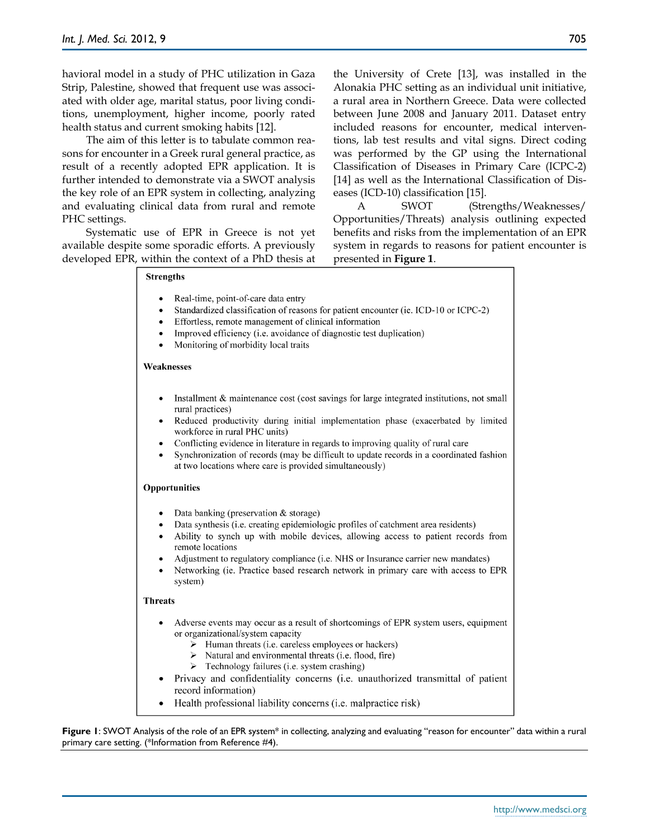havioral model in a study of PHC utilization in Gaza Strip, Palestine, showed that frequent use was associated with older age, marital status, poor living conditions, unemployment, higher income, poorly rated health status and current smoking habits [12].

The aim of this letter is to tabulate common reasons for encounter in a Greek rural general practice, as result of a recently adopted EPR application. It is further intended to demonstrate via a SWOT analysis the key role of an EPR system in collecting, analyzing and evaluating clinical data from rural and remote PHC settings.

Systematic use of EPR in Greece is not yet available despite some sporadic efforts. A previously developed EPR, within the context of a PhD thesis at the University of Crete [13], was installed in the Alonakia PHC setting as an individual unit initiative, a rural area in Northern Greece. Data were collected between June 2008 and January 2011. Dataset entry included reasons for encounter, medical interventions, lab test results and vital signs. Direct coding was performed by the GP using the International Classification of Diseases in Primary Care (ICPC-2) [14] as well as the International Classification of Diseases (ICD-10) classification [15].

A SWOT (Strengths/Weaknesses/ Opportunities/Threats) analysis outlining expected benefits and risks from the implementation of an EPR system in regards to reasons for patient encounter is presented in **Figure 1**.

| <b>Strengths</b>                                                                                                                                                                                                                                                                                                                                                                                                                                                                                                                 |  |
|----------------------------------------------------------------------------------------------------------------------------------------------------------------------------------------------------------------------------------------------------------------------------------------------------------------------------------------------------------------------------------------------------------------------------------------------------------------------------------------------------------------------------------|--|
| Real-time, point-of-care data entry<br>Standardized classification of reasons for patient encounter (ie. ICD-10 or ICPC-2)<br>Effortless, remote management of clinical information<br>Improved efficiency (i.e. avoidance of diagnostic test duplication)<br>Monitoring of morbidity local traits<br>$\bullet$                                                                                                                                                                                                                  |  |
| Weaknesses                                                                                                                                                                                                                                                                                                                                                                                                                                                                                                                       |  |
| Installment & maintenance cost (cost savings for large integrated institutions, not small<br>$\bullet$<br>rural practices)<br>Reduced productivity during initial implementation phase (exacerbated by limited<br>$\bullet$<br>workforce in rural PHC units)<br>Conflicting evidence in literature in regards to improving quality of rural care<br>$\bullet$<br>Synchronization of records (may be difficult to update records in a coordinated fashion<br>$\bullet$<br>at two locations where care is provided simultaneously) |  |
| Opportunities                                                                                                                                                                                                                                                                                                                                                                                                                                                                                                                    |  |
| Data banking (preservation & storage)<br>Data synthesis (i.e. creating epidemiologic profiles of catchment area residents)<br>$\bullet$<br>Ability to synch up with mobile devices, allowing access to patient records from<br>$\bullet$<br>remote locations<br>Adjustment to regulatory compliance (i.e. NHS or Insurance carrier new mandates)<br>Networking (ie. Practice based research network in primary care with access to EPR<br>system)                                                                                |  |
| <b>Threats</b>                                                                                                                                                                                                                                                                                                                                                                                                                                                                                                                   |  |
| Adverse events may occur as a result of shortcomings of EPR system users, equipment<br>$\bullet$<br>or organizational/system capacity<br>$\triangleright$ Human threats (i.e. careless employees or hackers)<br>$\triangleright$ Natural and environmental threats (i.e. flood, fire)<br>> Technology failures (i.e. system crashing)<br>Privacy and confidentiality concerns (i.e. unauthorized transmittal of patient<br>record information)<br>Health professional liability concerns (i.e. malpractice risk)                 |  |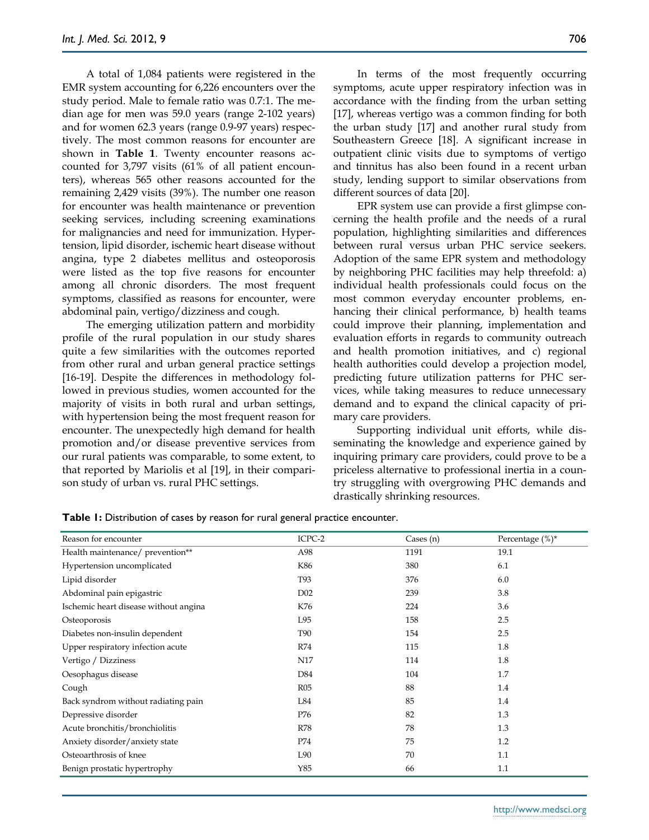A total of 1,084 patients were registered in the EMR system accounting for 6,226 encounters over the study period. Male to female ratio was 0.7:1. The median age for men was 59.0 years (range 2-102 years) and for women 62.3 years (range 0.9-97 years) respectively. The most common reasons for encounter are shown in **Table 1**. Twenty encounter reasons accounted for 3,797 visits (61% of all patient encounters), whereas 565 other reasons accounted for the remaining 2,429 visits (39%). The number one reason for encounter was health maintenance or prevention seeking services, including screening examinations for malignancies and need for immunization. Hypertension, lipid disorder, ischemic heart disease without angina, type 2 diabetes mellitus and osteoporosis were listed as the top five reasons for encounter among all chronic disorders. The most frequent symptoms, classified as reasons for encounter, were abdominal pain, vertigo/dizziness and cough.

The emerging utilization pattern and morbidity profile of the rural population in our study shares quite a few similarities with the outcomes reported from other rural and urban general practice settings [16-19]. Despite the differences in methodology followed in previous studies, women accounted for the majority of visits in both rural and urban settings, with hypertension being the most frequent reason for encounter. The unexpectedly high demand for health promotion and/or disease preventive services from our rural patients was comparable, to some extent, to that reported by Mariolis et al [19], in their comparison study of urban vs. rural PHC settings.

In terms of the most frequently occurring symptoms, acute upper respiratory infection was in accordance with the finding from the urban setting [17], whereas vertigo was a common finding for both the urban study [17] and another rural study from Southeastern Greece [18]. A significant increase in outpatient clinic visits due to symptoms of vertigo and tinnitus has also been found in a recent urban study, lending support to similar observations from different sources of data [20].

EPR system use can provide a first glimpse concerning the health profile and the needs of a rural population, highlighting similarities and differences between rural versus urban PHC service seekers. Adoption of the same EPR system and methodology by neighboring PHC facilities may help threefold: a) individual health professionals could focus on the most common everyday encounter problems, enhancing their clinical performance, b) health teams could improve their planning, implementation and evaluation efforts in regards to community outreach and health promotion initiatives, and c) regional health authorities could develop a projection model, predicting future utilization patterns for PHC services, while taking measures to reduce unnecessary demand and to expand the clinical capacity of primary care providers.

Supporting individual unit efforts, while disseminating the knowledge and experience gained by inquiring primary care providers, could prove to be a priceless alternative to professional inertia in a country struggling with overgrowing PHC demands and drastically shrinking resources.

| Reason for encounter                  | ICPC-2          | Cases $(n)$ | Percentage $(\%)^*$ |
|---------------------------------------|-----------------|-------------|---------------------|
| Health maintenance/ prevention**      | A98             | 1191        | 19.1                |
| Hypertension uncomplicated            | K86             | 380         | 6.1                 |
| Lipid disorder                        | T93             | 376         | 6.0                 |
| Abdominal pain epigastric             | D <sub>02</sub> | 239         | 3.8                 |
| Ischemic heart disease without angina | K76             | 224         | 3.6                 |
| Osteoporosis                          | L95             | 158         | 2.5                 |
| Diabetes non-insulin dependent        | <b>T90</b>      | 154         | 2.5                 |
| Upper respiratory infection acute     | R74             | 115         | 1.8                 |
| Vertigo / Dizziness                   | N17             | 114         | 1.8                 |
| Oesophagus disease                    | D84             | 104         | 1.7                 |
| Cough                                 | R05             | 88          | 1.4                 |
| Back syndrom without radiating pain   | L84             | 85          | 1.4                 |
| Depressive disorder                   | P76             | 82          | 1.3                 |
| Acute bronchitis/bronchiolitis        | <b>R78</b>      | 78          | 1.3                 |
| Anxiety disorder/anxiety state        | P74             | 75          | 1.2                 |
| Osteoarthrosis of knee                | L90             | 70          | 1.1                 |
| Benign prostatic hypertrophy          | Y85             | 66          | 1.1                 |

**Table 1:** Distribution of cases by reason for rural general practice encounter.